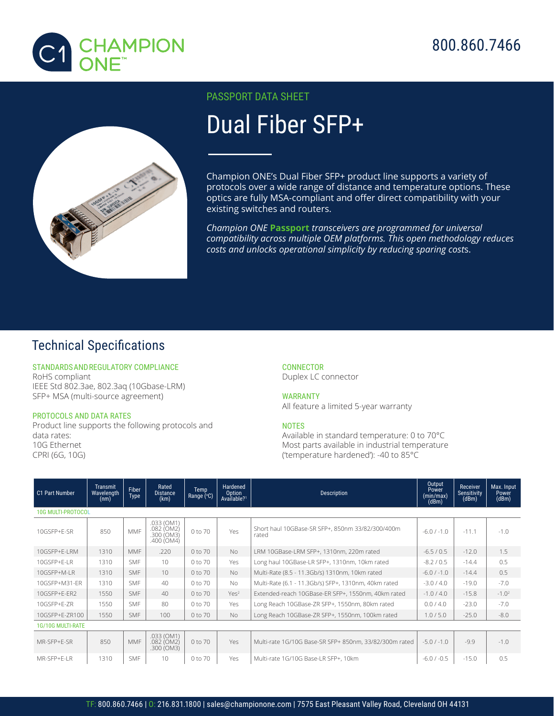

## 800.860.7466



#### PASSPORT DATA SHEET

# Dual Fiber SFP+

Champion ONE's Dual Fiber SFP+ product line supports a variety of protocols over a wide range of distance and temperature options. These optics are fully MSA-compliant and offer direct compatibility with your existing switches and routers.

*Champion ONE* **Passport** *transceivers are programmed for universal compatibility across multiple OEM platforms. This open methodology reduces costs and unlocks operational simplicity by reducing sparing cost*s.

### Technical Specifications

STANDARDS AND REGULATORY COMPLIANCE RoHS compliant IEEE Std 802.3ae, 802.3aq (10Gbase-LRM) SFP+ MSA (multi-source agreement)

#### PROTOCOLS AND DATA RATES

1

Product line supports the following protocols and data rates: 10G Ethernet CPRI (6G, 10G)

**CONNECTOR** Duplex LC connector

WARRANTY All feature a limited 5-year warranty

#### **NOTES**

Available in standard temperature: 0 to 70°C Most parts available in industrial temperature ('temperature hardened'): -40 to 85°C

| C1 Part Number            | Transmit<br>Wavelength<br>(nm) | Fiber<br>Type | Rated<br><b>Distance</b><br>(km)                       | Temp<br>Range (°C) | Hardened<br>Option<br>Available? <sup>1</sup> | <b>Description</b>                                        | Output<br>Power<br>(min/max)<br>(dBm) | Receiver<br><b>Sensitivity</b><br>(dBm) | Max. Input<br>Power<br>(dBm) |  |  |  |
|---------------------------|--------------------------------|---------------|--------------------------------------------------------|--------------------|-----------------------------------------------|-----------------------------------------------------------|---------------------------------------|-----------------------------------------|------------------------------|--|--|--|
| <b>10G MULTI-PROTOCOL</b> |                                |               |                                                        |                    |                                               |                                                           |                                       |                                         |                              |  |  |  |
| 10GSFP+E-SR               | 850                            | <b>MMF</b>    | .033 (OM1)<br>$.082$ (OM2)<br>.300 (OM3)<br>.400 (OM4) | 0 to 70            | Yes.                                          | Short haul 10GBase-SR SFP+, 850nm 33/82/300/400m<br>rated | $-6.0$ / $-1.0$                       | $-11.1$                                 | $-1.0$                       |  |  |  |
| 10GSFP+E-LRM              | 1310                           | <b>MMF</b>    | .220                                                   | 0 to 70            | No.                                           | LRM 10GBase-LRM SFP+, 1310nm, 220m rated                  | $-6.5/0.5$                            | $-12.0$                                 | 1.5                          |  |  |  |
| 10GSFP+E-LR               | 1310                           | <b>SMF</b>    | 10 <sup>1</sup>                                        | 0 to 70            | Yes                                           | Long haul 10GBase-LR SFP+, 1310nm, 10km rated             | $-8.2 / 0.5$                          | $-14.4$                                 | 0.5                          |  |  |  |
| 10GSFP+M-LR               | 1310                           | <b>SMF</b>    | 10                                                     | 0 to 70            | <b>No</b>                                     | Multi-Rate (8.5 - 11.3Gb/s) 1310nm, 10km rated            | $-6.0$ / $-1.0$                       | $-14.4$                                 | 0.5                          |  |  |  |
| 10GSFP+M31-ER             | 1310                           | <b>SMF</b>    | 40 <sup>°</sup>                                        | 0 to 70            | <b>No</b>                                     | Multi-Rate (6.1 - 11.3Gb/s) SFP+, 1310nm, 40km rated      | $-3.0 / 4.0$                          | $-19.0$                                 | $-7.0$                       |  |  |  |
| 10GSFP+E-ER2              | 1550                           | <b>SMF</b>    | 40                                                     | 0 to 70            | Yes <sup>2</sup>                              | Extended-reach 10GBase-ER SFP+, 1550nm, 40km rated        | $-1.0/4.0$                            | $-15.8$                                 | $-1.02$                      |  |  |  |
| 10GSFP+E-ZR               | 1550                           | <b>SMF</b>    | 80                                                     | 0 to 70            | Yes                                           | Long Reach 10GBase-ZR SFP+, 1550nm, 80km rated            | 0.0 / 4.0                             | $-23.0$                                 | $-7.0$                       |  |  |  |
| 10GSFP+E-ZR100            | 1550                           | <b>SMF</b>    | 100                                                    | 0 to 70            | <b>No</b>                                     | Long Reach 10GBase-ZR SFP+, 1550nm, 100km rated           | 1.0 / 5.0                             | $-25.0$                                 | $-8.0$                       |  |  |  |
| <b>1G/10G MULTI-RATE</b>  |                                |               |                                                        |                    |                                               |                                                           |                                       |                                         |                              |  |  |  |
| MR-SFP+E-SR               | 850                            | <b>MMF</b>    | .033 (OM1)<br>$.082$ (OM2)<br>.300 (OM3)               | 0 to 70            | Yes                                           | Multi-rate 1G/10G Base-SR SFP+ 850nm, 33/82/300m rated    | $-5.0$ / $-1.0$                       | $-9.9$                                  | $-1.0$                       |  |  |  |
| MR-SFP+E-LR               | 1310                           | <b>SMF</b>    | 10 <sup>1</sup>                                        | 0 to 70            | Yes                                           | Multi-rate 1G/10G Base-LR SFP+, 10km                      | $-6.0 / -0.5$                         | $-15.0$                                 | 0.5                          |  |  |  |